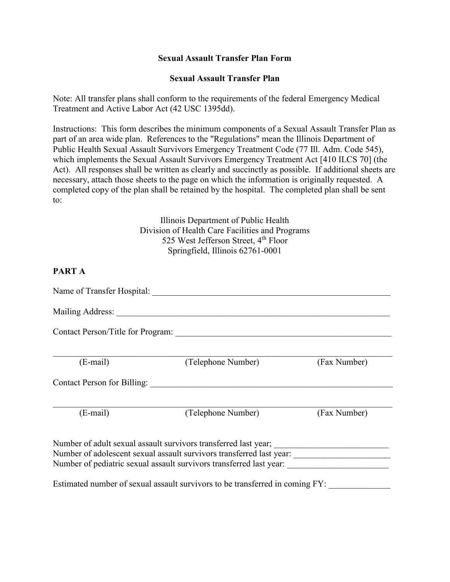#### **Sexual Assault Transfer Plan Form**

#### **Sexual Assault Transfer Plan**

Note: All transfer plans shall conform to the requirements of the federal Emergency Medical Treatment and Active Labor Act (42 USC 1395dd).

Instructions: This form describes the minimum components of a Sexual Assault Transfer Plan as part of an area wide plan. References to the "Regulations" mean the Illinois Department of Public Health Sexual Assault Survivors Emergency Treatment Code (77 Ill. Adm. Code 545), which implements the Sexual Assault Survivors Emergency Treatment Act [410 ILCS 70] (the Act). All responses shall be written as clearly and succinctly as possible. If additional sheets are necessary, attach those sheets to the page on which the information is originally requested. A completed copy of the plan shall be retained by the hospital. The completed plan shall be sent to:

> Illinois Department of Public Health Division of Health Care Facilities and Programs 525 West Jefferson Street, 4<sup>th</sup> Floor Springfield, Illinois 62761-0001

#### **PART A**

| Name of Transfer Hospital: Name of Transfer Hospital: |                                                                              |              |
|-------------------------------------------------------|------------------------------------------------------------------------------|--------------|
|                                                       |                                                                              |              |
| $(E-mail)$                                            | (Telephone Number)                                                           | (Fax Number) |
| Contact Person for Billing:                           |                                                                              |              |
| $(E-mail)$                                            | (Telephone Number)                                                           | (Fax Number) |
|                                                       | Number of pediatric sexual assault survivors transferred last year:          |              |
|                                                       | Estimated number of sexual assault survivors to be transferred in coming FY: |              |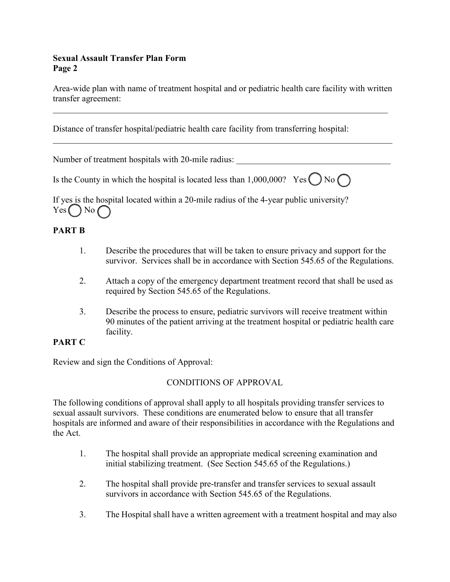### **Sexual Assault Transfer Plan Form Page 2**

Area-wide plan with name of treatment hospital and or pediatric health care facility with written transfer agreement:

\_\_\_\_\_\_\_\_\_\_\_\_\_\_\_\_\_\_\_\_\_\_\_\_\_\_\_\_\_\_\_\_\_\_\_\_\_\_\_\_\_\_\_\_\_\_\_\_\_\_\_\_\_\_\_\_\_\_\_\_\_\_\_\_\_\_\_\_\_\_\_\_\_\_\_\_

\_\_\_\_\_\_\_\_\_\_\_\_\_\_\_\_\_\_\_\_\_\_\_\_\_\_\_\_\_\_\_\_\_\_\_\_\_\_\_\_\_\_\_\_\_\_\_\_\_\_\_\_\_\_\_\_\_\_\_\_\_\_\_\_\_\_\_\_\_\_\_\_\_\_\_\_\_

Distance of transfer hospital/pediatric health care facility from transferring hospital:

Number of treatment hospitals with 20-mile radius:

Is the County in which the hospital is located less than  $1,000,000$ ? Yes  $\bigcap$  No  $\bigcap$ 

If yes is the hospital located within a 20-mile radius of the 4-year public university?  $Yes$  No (

# **PART B**

- 1. Describe the procedures that will be taken to ensure privacy and support for the survivor. Services shall be in accordance with Section 545.65 of the Regulations.
- 2. Attach a copy of the emergency department treatment record that shall be used as required by Section 545.65 of the Regulations.
- 3. Describe the process to ensure, pediatric survivors will receive treatment within 90 minutes of the patient arriving at the treatment hospital or pediatric health care facility.

## **PART C**

Review and sign the Conditions of Approval:

## CONDITIONS OF APPROVAL

The following conditions of approval shall apply to all hospitals providing transfer services to sexual assault survivors. These conditions are enumerated below to ensure that all transfer hospitals are informed and aware of their responsibilities in accordance with the Regulations and the Act.

- 1. The hospital shall provide an appropriate medical screening examination and initial stabilizing treatment. (See Section 545.65 of the Regulations.)
- 2. The hospital shall provide pre-transfer and transfer services to sexual assault survivors in accordance with Section 545.65 of the Regulations.
- 3. The Hospital shall have a written agreement with a treatment hospital and may also